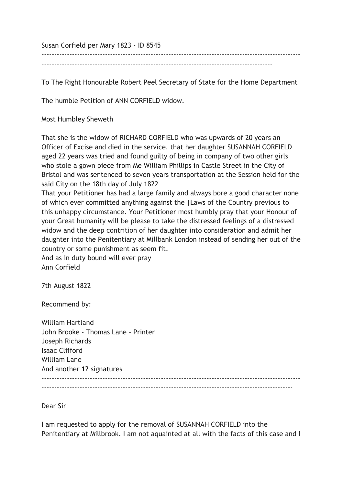Susan Corfield per Mary 1823 - ID 8545

-------------------------------------------------------------------------------------------

To The Right Honourable Robert Peel Secretary of State for the Home Department

------------------------------------------------------------------------------------------------------

The humble Petition of ANN CORFIELD widow.

Most Humbley Sheweth

That she is the widow of RICHARD CORFIELD who was upwards of 20 years an Officer of Excise and died in the service. that her daughter SUSANNAH CORFIELD aged 22 years was tried and found guilty of being in company of two other girls who stole a gown piece from Me William Phillips in Castle Street in the City of Bristol and was sentenced to seven years transportation at the Session held for the said City on the 18th day of July 1822

That your Petitioner has had a large family and always bore a good character none of which ever committed anything against the |Laws of the Country previous to this unhappy circumstance. Your Petitioner most humbly pray that your Honour of your Great humanity will be please to take the distressed feelings of a distressed widow and the deep contrition of her daughter into consideration and admit her daughter into the Penitentiary at Millbank London instead of sending her out of the country or some punishment as seem fit.

And as in duty bound will ever pray Ann Corfield

7th August 1822

Recommend by:

William Hartland John Brooke - Thomas Lane - Printer Joseph Richards Isaac Clifford William Lane And another 12 signatures ------------------------------------------------------------------------------------------------------

---------------------------------------------------------------------------------------------------

Dear Sir

I am requested to apply for the removal of SUSANNAH CORFIELD into the Penitentiary at Millbrook. I am not aquainted at all with the facts of this case and I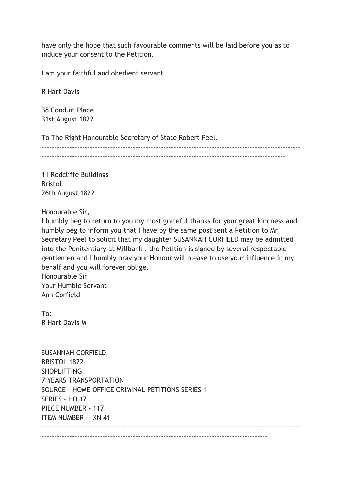have only the hope that such favourable comments will be laid before you as to induce your consent to the Petition.

I am your faithful and obedient servant

R Hart Davis

38 Conduit Place 31st August 1822

To The Right Honourable Secretary of State Robert Peel.

------------------------------------------------------------------------------------------------------ ------------------------------------------------------------------------------------------------

11 Redcliffe Buildings Bristol 26th August 1822

Honourable Sir,

I humbly beg to return to you my most grateful thanks for your great kindness and humbly beg to inform you that I have by the same post sent a Petition to Mr Secretary Peel to solicit that my daughter SUSANNAH CORFIELD may be admitted into the Penitentiary at Millbank , the Petition is signed by several respectable gentlemen and I humbly pray your Honour will please to use your influence in my behalf and you will forever oblige. Honourable Sir Your Humble Servant

Ann Corfield

To: R Hart Davis M

| <b>SUSANNAH CORFIELD</b>                         |
|--------------------------------------------------|
| <b>BRISTOL 1822</b>                              |
| <b>SHOPLIFTING</b>                               |
| <b>7 YEARS TRANSPORTATION</b>                    |
| SOURCE - HOME OFFICE CRIMINAL PETITIONS SERIES 1 |
| SERIES - HO 17                                   |
| PIECE NUMBER - 117                               |
| <b>ITEM NUMBER -- XN 41</b>                      |
|                                                  |
|                                                  |